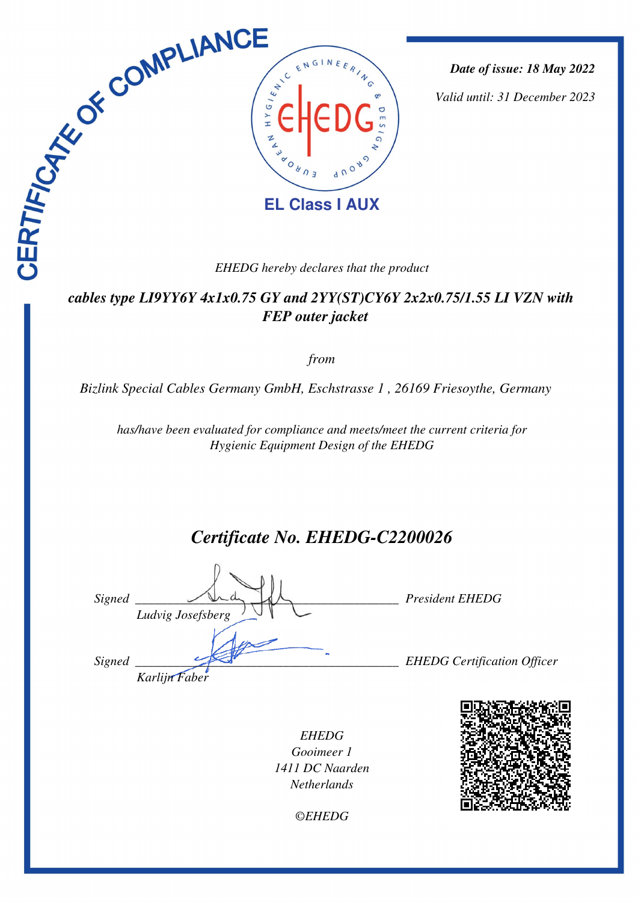

*Date of issue: 18 May 2022*

*Valid until: 31 December 2023*

#### *EHEDG hereby declares that the product*

### *cables type LI9YY6Y 4x1x0.75 GY and 2YY(ST)CY6Y 2x2x0.75/1.55 LI VZN with FEP outer jacket*

*from*

*Bizlink Special Cables Germany GmbH, Eschstrasse 1 , 26169 Friesoythe, Germany* 

*has/have been evaluated for compliance and meets/meet the current criteria for Hygienic Equipment Design of the EHEDG*

# *Certificate No. EHEDG-C2200026*

*Signed \_\_\_\_\_\_\_\_\_\_\_\_\_\_\_\_\_\_\_\_\_\_\_\_\_\_\_\_\_\_\_\_\_\_\_\_\_\_\_\_\_ President EHEDG Ludvig Josefsberg Signed \_\_\_\_\_\_\_\_\_\_\_\_\_\_\_\_\_\_\_\_\_\_\_\_\_\_\_\_\_\_\_\_\_\_\_\_\_\_\_\_\_ EHEDG Certification Officer Karlijn Faber*

*EHEDG Gooimeer 1 1411 DC Naarden Netherlands*

*©EHEDG*

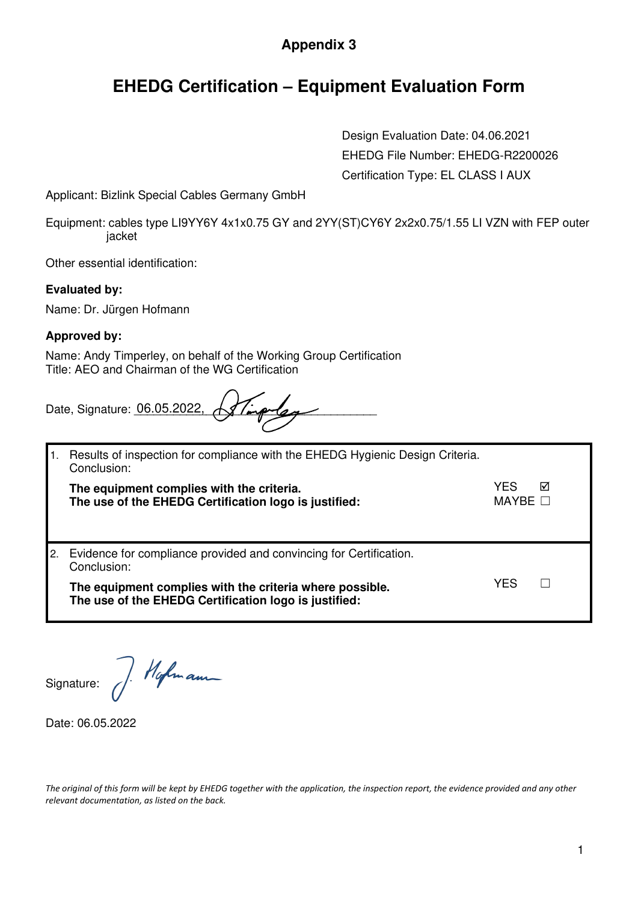## **Appendix 3**

## **EHEDG Certification – Equipment Evaluation Form**

Design Evaluation Date: 04.06.2021 EHEDG File Number: EHEDG-R2200026 Certification Type: EL CLASS I AUX

Applicant: Bizlink Special Cables Germany GmbH

Equipment: cables type LI9YY6Y 4x1x0.75 GY and 2YY(ST)CY6Y 2x2x0.75/1.55 LI VZN with FEP outer jacket

Other essential identification:

**Evaluated by:** 

Name: Dr. Jürgen Hofmann

#### **Approved by:**

Name: Andy Timperley, on behalf of the Working Group Certification Title: AEO and Chairman of the WG Certification

Date, Signature:  $06.05.2022$ ,  $\sqrt{3}/\sqrt{2}/\sqrt{2}/\sqrt{2}$ 

|     | Results of inspection for compliance with the EHEDG Hygienic Design Criteria.<br>Conclusion:                      |                        |   |
|-----|-------------------------------------------------------------------------------------------------------------------|------------------------|---|
|     | The equipment complies with the criteria.<br>The use of the EHEDG Certification logo is justified:                | YFS<br>MAYBE $\square$ | ⊠ |
| I2. | Evidence for compliance provided and convincing for Certification.<br>Conclusion:                                 |                        |   |
|     | The equipment complies with the criteria where possible.<br>The use of the EHEDG Certification logo is justified: | YES                    |   |

Signature:

J. Hofmann

Date: 06.05.2022

*The original of this form will be kept by EHEDG together with the application, the inspection report, the evidence provided and any other relevant documentation, as listed on the back.*